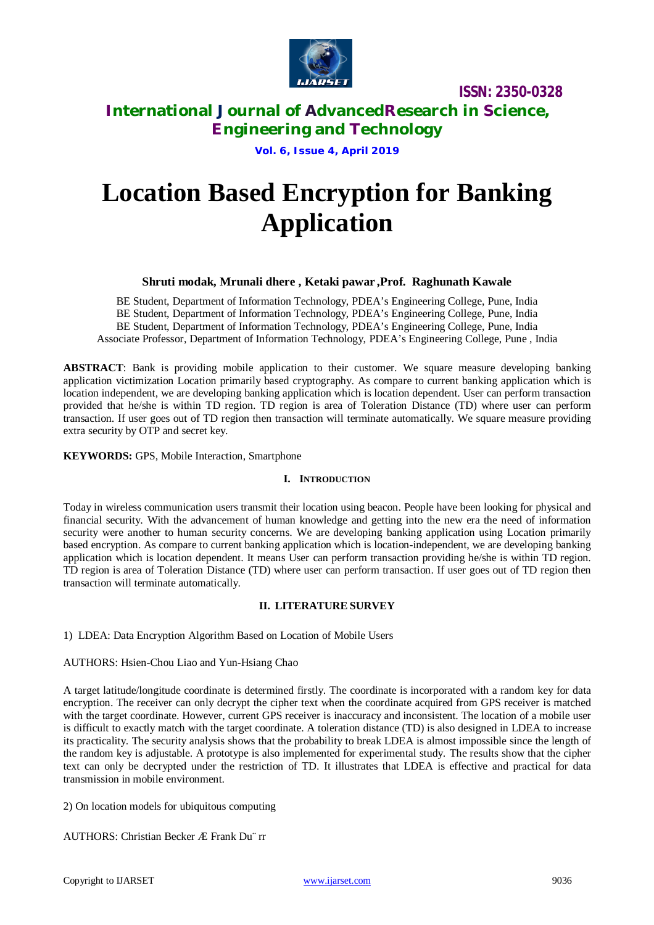

**International Journal of AdvancedResearch in Science, Engineering and Technology**

## **Vol. 6, Issue 4, April 2019**

# **Location Based Encryption for Banking Application**

## **Shruti modak, Mrunali dhere , Ketaki pawar ,Prof. Raghunath Kawale**

BE Student, Department of Information Technology, PDEA's Engineering College, Pune, India BE Student, Department of Information Technology, PDEA's Engineering College, Pune, India BE Student, Department of Information Technology, PDEA's Engineering College, Pune, India Associate Professor, Department of Information Technology, PDEA's Engineering College, Pune , India

**ABSTRACT**: Bank is providing mobile application to their customer. We square measure developing banking application victimization Location primarily based cryptography. As compare to current banking application which is location independent, we are developing banking application which is location dependent. User can perform transaction provided that he/she is within TD region. TD region is area of Toleration Distance (TD) where user can perform transaction. If user goes out of TD region then transaction will terminate automatically. We square measure providing extra security by OTP and secret key.

**KEYWORDS:** GPS, Mobile Interaction, Smartphone

#### **I. INTRODUCTION**

Today in wireless communication users transmit their location using beacon. People have been looking for physical and financial security. With the advancement of human knowledge and getting into the new era the need of information security were another to human security concerns. We are developing banking application using Location primarily based encryption. As compare to current banking application which is location-independent, we are developing banking application which is location dependent. It means User can perform transaction providing he/she is within TD region. TD region is area of Toleration Distance (TD) where user can perform transaction. If user goes out of TD region then transaction will terminate automatically.

#### **II. LITERATURE SURVEY**

1) LDEA: Data Encryption Algorithm Based on Location of Mobile Users

AUTHORS: Hsien-Chou Liao and Yun-Hsiang Chao

A target latitude/longitude coordinate is determined firstly. The coordinate is incorporated with a random key for data encryption. The receiver can only decrypt the cipher text when the coordinate acquired from GPS receiver is matched with the target coordinate. However, current GPS receiver is inaccuracy and inconsistent. The location of a mobile user is difficult to exactly match with the target coordinate. A toleration distance (TD) is also designed in LDEA to increase its practicality. The security analysis shows that the probability to break LDEA is almost impossible since the length of the random key is adjustable. A prototype is also implemented for experimental study. The results show that the cipher text can only be decrypted under the restriction of TD. It illustrates that LDEA is effective and practical for data transmission in mobile environment.

2) On location models for ubiquitous computing

AUTHORS: Christian Becker Æ Frank Du¨ rr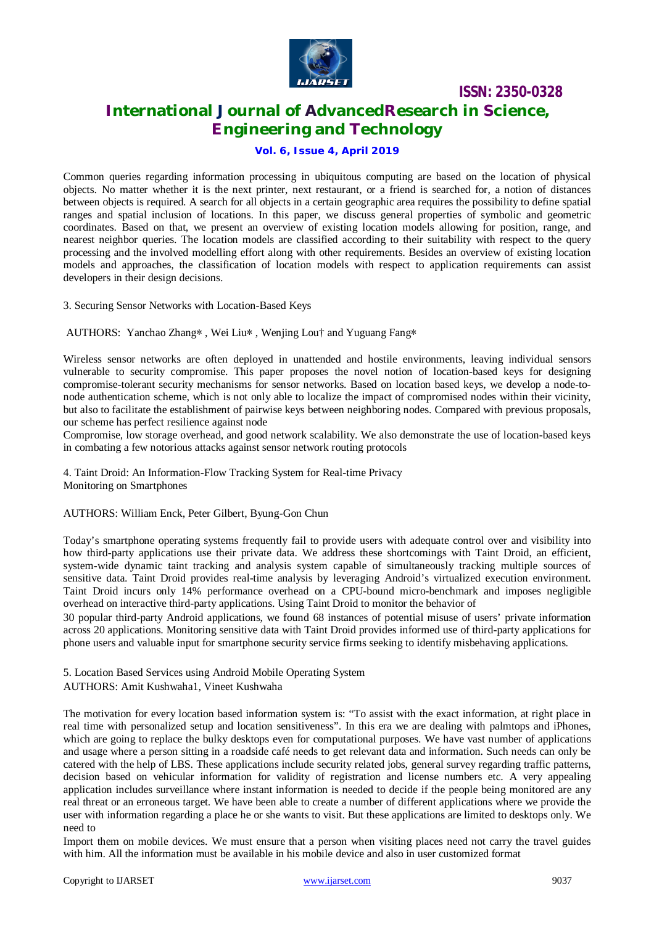

# **International Journal of AdvancedResearch in Science, Engineering and Technology**

## **Vol. 6, Issue 4, April 2019**

Common queries regarding information processing in ubiquitous computing are based on the location of physical objects. No matter whether it is the next printer, next restaurant, or a friend is searched for, a notion of distances between objects is required. A search for all objects in a certain geographic area requires the possibility to define spatial ranges and spatial inclusion of locations. In this paper, we discuss general properties of symbolic and geometric coordinates. Based on that, we present an overview of existing location models allowing for position, range, and nearest neighbor queries. The location models are classified according to their suitability with respect to the query processing and the involved modelling effort along with other requirements. Besides an overview of existing location models and approaches, the classification of location models with respect to application requirements can assist developers in their design decisions.

3. Securing Sensor Networks with Location-Based Keys

AUTHORS: Yanchao Zhang∗ , Wei Liu∗ , Wenjing Lou† and Yuguang Fang∗

Wireless sensor networks are often deployed in unattended and hostile environments, leaving individual sensors vulnerable to security compromise. This paper proposes the novel notion of location-based keys for designing compromise-tolerant security mechanisms for sensor networks. Based on location based keys, we develop a node-tonode authentication scheme, which is not only able to localize the impact of compromised nodes within their vicinity, but also to facilitate the establishment of pairwise keys between neighboring nodes. Compared with previous proposals, our scheme has perfect resilience against node

Compromise, low storage overhead, and good network scalability. We also demonstrate the use of location-based keys in combating a few notorious attacks against sensor network routing protocols

4. Taint Droid: An Information-Flow Tracking System for Real-time Privacy Monitoring on Smartphones

AUTHORS: William Enck, Peter Gilbert, Byung-Gon Chun

Today's smartphone operating systems frequently fail to provide users with adequate control over and visibility into how third-party applications use their private data. We address these shortcomings with Taint Droid, an efficient, system-wide dynamic taint tracking and analysis system capable of simultaneously tracking multiple sources of sensitive data. Taint Droid provides real-time analysis by leveraging Android's virtualized execution environment. Taint Droid incurs only 14% performance overhead on a CPU-bound micro-benchmark and imposes negligible overhead on interactive third-party applications. Using Taint Droid to monitor the behavior of

30 popular third-party Android applications, we found 68 instances of potential misuse of users' private information across 20 applications. Monitoring sensitive data with Taint Droid provides informed use of third-party applications for phone users and valuable input for smartphone security service firms seeking to identify misbehaving applications.

5. Location Based Services using Android Mobile Operating System AUTHORS: Amit Kushwaha1, Vineet Kushwaha

The motivation for every location based information system is: "To assist with the exact information, at right place in real time with personalized setup and location sensitiveness". In this era we are dealing with palmtops and iPhones, which are going to replace the bulky desktops even for computational purposes. We have vast number of applications and usage where a person sitting in a roadside café needs to get relevant data and information. Such needs can only be catered with the help of LBS. These applications include security related jobs, general survey regarding traffic patterns, decision based on vehicular information for validity of registration and license numbers etc. A very appealing application includes surveillance where instant information is needed to decide if the people being monitored are any real threat or an erroneous target. We have been able to create a number of different applications where we provide the user with information regarding a place he or she wants to visit. But these applications are limited to desktops only. We need to

Import them on mobile devices. We must ensure that a person when visiting places need not carry the travel guides with him. All the information must be available in his mobile device and also in user customized format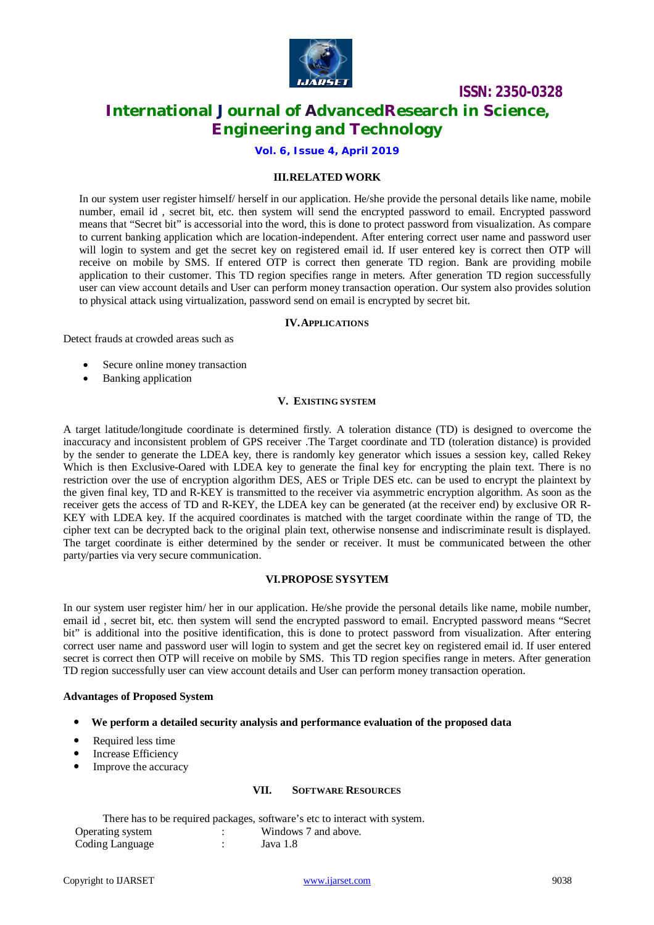

# **International Journal of AdvancedResearch in Science, Engineering and Technology**

**Vol. 6, Issue 4, April 2019**

#### **III.RELATED WORK**

In our system user register himself/ herself in our application. He/she provide the personal details like name, mobile number, email id , secret bit, etc. then system will send the encrypted password to email. Encrypted password means that "Secret bit" is accessorial into the word, this is done to protect password from visualization. As compare to current banking application which are location-independent. After entering correct user name and password user will login to system and get the secret key on registered email id. If user entered key is correct then OTP will receive on mobile by SMS. If entered OTP is correct then generate TD region. Bank are providing mobile application to their customer. This TD region specifies range in meters. After generation TD region successfully user can view account details and User can perform money transaction operation. Our system also provides solution to physical attack using virtualization, password send on email is encrypted by secret bit.

#### **IV.APPLICATIONS**

Detect frauds at crowded areas such as

- Secure online money transaction
- Banking application

#### **V. EXISTING SYSTEM**

A target latitude/longitude coordinate is determined firstly. A toleration distance (TD) is designed to overcome the inaccuracy and inconsistent problem of GPS receiver .The Target coordinate and TD (toleration distance) is provided by the sender to generate the LDEA key, there is randomly key generator which issues a session key, called Rekey Which is then Exclusive-Oared with LDEA key to generate the final key for encrypting the plain text. There is no restriction over the use of encryption algorithm DES, AES or Triple DES etc. can be used to encrypt the plaintext by the given final key, TD and R-KEY is transmitted to the receiver via asymmetric encryption algorithm. As soon as the receiver gets the access of TD and R-KEY, the LDEA key can be generated (at the receiver end) by exclusive OR R-KEY with LDEA key. If the acquired coordinates is matched with the target coordinate within the range of TD, the cipher text can be decrypted back to the original plain text, otherwise nonsense and indiscriminate result is displayed. The target coordinate is either determined by the sender or receiver. It must be communicated between the other party/parties via very secure communication.

#### **VI.PROPOSE SYSYTEM**

In our system user register him/ her in our application. He/she provide the personal details like name, mobile number, email id , secret bit, etc. then system will send the encrypted password to email. Encrypted password means "Secret bit" is additional into the positive identification, this is done to protect password from visualization. After entering correct user name and password user will login to system and get the secret key on registered email id. If user entered secret is correct then OTP will receive on mobile by SMS. This TD region specifies range in meters. After generation TD region successfully user can view account details and User can perform money transaction operation.

#### **Advantages of Proposed System**

- **We perform a detailed security analysis and performance evaluation of the proposed data**
- Required less time
- Increase Efficiency
- Improve the accuracy

#### **VII. SOFTWARE RESOURCES**

|                  | There has to be required packages, software's etc to interact with system. |
|------------------|----------------------------------------------------------------------------|
| Operating system | Windows 7 and above.                                                       |
| Coding Language  | Java 1.8                                                                   |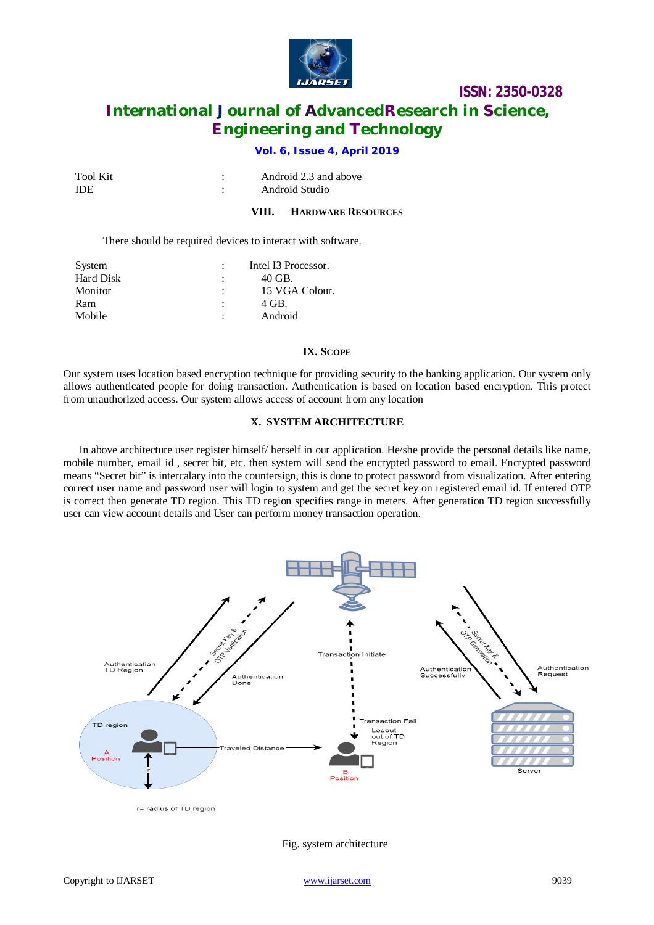

# **International Journal of AdvancedResearch in Science, Engineering and Technology**

## **Vol. 6, Issue 4, April 2019**

| Tool Kit   | Android 2.3 and above |
|------------|-----------------------|
| <b>IDE</b> | Android Studio        |

#### **VIII. HARDWARE RESOURCES**

There should be required devices to interact with software.

| System           | Intel I3 Processor. |
|------------------|---------------------|
| <b>Hard Disk</b> | 40 GB.              |
| Monitor          | 15 VGA Colour.      |
| Ram              | 4 GB.               |
| Mobile           | Android             |

#### **IX. SCOPE**

Our system uses location based encryption technique for providing security to the banking application. Our system only allows authenticated people for doing transaction. Authentication is based on location based encryption. This protect from unauthorized access. Our system allows access of account from any location

#### **X. SYSTEM ARCHITECTURE**

In above architecture user register himself/ herself in our application. He/she provide the personal details like name, mobile number, email id , secret bit, etc. then system will send the encrypted password to email. Encrypted password means "Secret bit" is intercalary into the countersign, this is done to protect password from visualization. After entering correct user name and password user will login to system and get the secret key on registered email id. If entered OTP is correct then generate TD region. This TD region specifies range in meters. After generation TD region successfully user can view account details and User can perform money transaction operation.



r= radius of TD region

Fig. system architecture